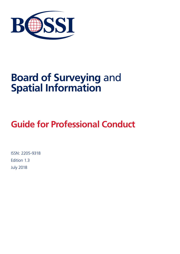

# **Board of Surveying** and **Spatial Information**

# **Guide for Professional Conduct**

ISSN: 2205-9318 Edition 1.3 July 2018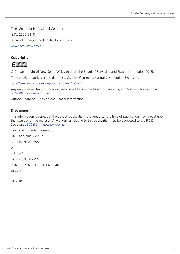Title: Guide for Professional Conduct ISSN: 2205-9318 Board of Surveying and Spatial Information www.bossi.nsw.gov.au

## **Copyright**



© Crown in right of New South Wales through the Board of Surveying and Spatial Information 2015.

This copyright work is licensed under a Creative Commons Australia Attribution 3.0 licence,

http://creativecommons.org/licenses/by-nd/3.0/au/

Any enquiries relating to the policy may be address to the Board of Surveying and Spatial Information at BOSSI@finance.nsw.gov.au

Author: Board of Surveying and Spatial Information

#### **Disclaimer**

This information is correct at the date of publication; changes after the time of publication may impact upon the accuracy of the material. Any enquiries relating to this publication may be addressed to the BOSSI Secretariat BOSSI@finance.nsw.gov.au.

Land and Property Information 346 Panorama Avenue Bathurst NSW 2795 or PO Box 143 Bathurst NSW 2795

T: 02 6332 8238 F: 02 6332 8240

July 2018

P18/10/035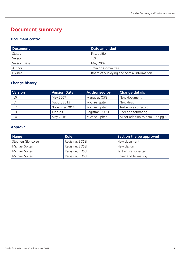# **Document summary**

### **Document control**

| Document     | Date amended                               |
|--------------|--------------------------------------------|
| Status       | First edition                              |
| Version      | 1.0                                        |
| Version Date | May 2007                                   |
| Author       | <b>Training Committee</b>                  |
| Owner        | Board of Surveying and Spatial Information |

## **Change history**

| Version | <b>Version Date</b> | <b>Authorised by</b> | <b>Change details</b>            |
|---------|---------------------|----------------------|----------------------------------|
| 1.0     | May 2007            | Manager, OSG         | New document                     |
|         | August 2013         | Michael Spiteri      | New design                       |
| 1.2     | November 2014       | Michael Spiteri      | Text errors corrected            |
| 1.3     | June 2015           | Registrar, BOSSI     | <b>ISSN</b> and formating        |
| 1.4     | May 2016            | Michael Spiteri      | Minor addition to item 3 on pg 5 |

### **Approval**

| <b>Name</b>       | <b>Role</b>      | Section the be approved |
|-------------------|------------------|-------------------------|
| Stephen Glencorse | Registrar, BOSSI | New document            |
| Michael Spiteri   | Registrar, BOSSI | New design              |
| Michael Spiteri   | Registrar, BOSSI | Text errors corrected   |
| Michael Spiteri   | Registrar, BOSSI | Cover and formating     |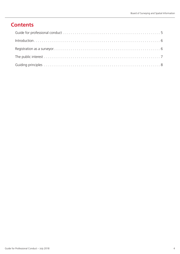# **Contents**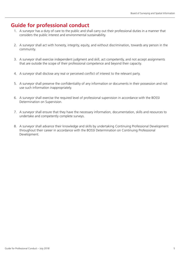## **Guide for professional conduct**

- 1. A surveyor has a duty of care to the public and shall carry out their professional duties in a manner that considers the public interest and environmental sustainability.
- 2. A surveyor shall act with honesty, integrity, equity, and without discrimination, towards any person in the community.
- 3. A surveyor shall exercise independent judgment and skill, act competently, and not accept assignments that are outside the scope of their professional competence and beyond their capacity.
- 4. A surveyor shall disclose any real or perceived conflict of interest to the relevant party.
- 5. A surveyor shall preserve the confidentiality of any information or documents in their possession and not use such information inappropriately.
- 6. A surveyor shall exercise the required level of professional supervision in accordance with the BOSSI Determination on Supervision.
- 7. A surveyor shall ensure that they have the necessary information, documentation, skills and resources to undertake and competently complete surveys.
- 8. A surveyor shall advance their knowledge and skills by undertaking Continuing Professional Development throughout their career in accordance with the BOSSI Determination on Continuing Professional Development.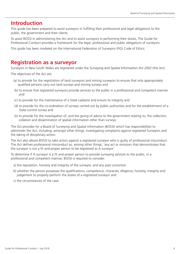## **Introduction**

This guide has been prepared to assist surveyors in fulfilling their professional and legal obligations to the public, the government and their clients.

To assist BOSSI in administering the Act and to assist surveyors in performing their duties, The Guide for Professional Conduct provides a framework for the legal, professional and public obligations of surveyors.

This guide has been modeled on the International Federation of Surveyors (FIG) Code of Ethics.

## **Registration as a surveyor**

Surveyors in New South Wales are registered under the *Surveying and Spatial Information Act 2002* (the Act).

The objectives of the Act are:

- (a) to provide for the registration of land surveyors and mining surveyors to ensure that only appropriately qualified persons carry out land surveys and mining surveys and
- (b) to ensure that registered surveyors provide services to the public in a professional and competent manner and
- (c) to provide for the maintenance of a State cadastre and ensure its integrity and
- (d) to provide for the co-ordination of surveys carried out by public authorities and for the establishment of a State control survey and
- (e) to provide for the investigation of, and the giving of advice to the government relating to, the collection, collation and dissemination of spatial information other than surveys.

The Act provides for a Board of Surveying and Spatial Information (BOSSI) which has responsibilities to administer the Act, including, amongst other things, investigating complaints against registered Surveyors and the taking of disciplinary action.

The Act also allows BOSSI to take action against a registered surveyor who is guilty of professional misconduct. The Act defines professional misconduct as, among other things, 'any act or omission that demonstrates that the surveyor is not a fit and proper person to be registered as A surveyor'.

To determine if A surveyor is a fit and proper person to provide surveying services to the public, in a professional and competent manner, BOSSI is required to consider:

- a) the reputation, honesty and integrity of the surveyor, and any past conviction
- b) whether the person possesses the qualifications, competence, character, diligence, honesty, integrity and judgement to properly perform the duties of a registered surveyor and
- c) the circumstances of the case.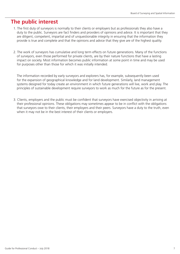## **The public interest**

- 1. The first duty of surveyors is normally to their clients or employers but as professionals they also have a duty to the public. Surveyors are fact finders and providers of opinions and advice. It is important that they are diligent, competent, impartial and of unquestionable integrity in ensuring that the information they provide is true and complete and that the opinions and advice that they give are of the highest quality.
- 2. The work of surveyors has cumulative and long term effects on future generations. Many of the functions of surveyors, even those performed for private clients, are by their nature functions that have a lasting impact on society. Most information becomes public information at some point in time and may be used for purposes other than those for which it was initially intended.

The information recorded by early surveyors and explorers has, for example, subsequently been used for the expansion of geographical knowledge and for land development. Similarly, land management systems designed for today create an environment in which future generations will live, work and play. The principles of sustainable development require surveyors to work as much for the future as for the present.

3. Clients, employers and the public must be confident that surveyors have exercised objectivity in arriving at their professional opinions. These obligations may sometimes appear to be in conflict with the obligations that surveyors owe to their clients, their employers and their peers. Surveyors have a duty to the truth, even when it may not be in the best interest of their clients or employers.